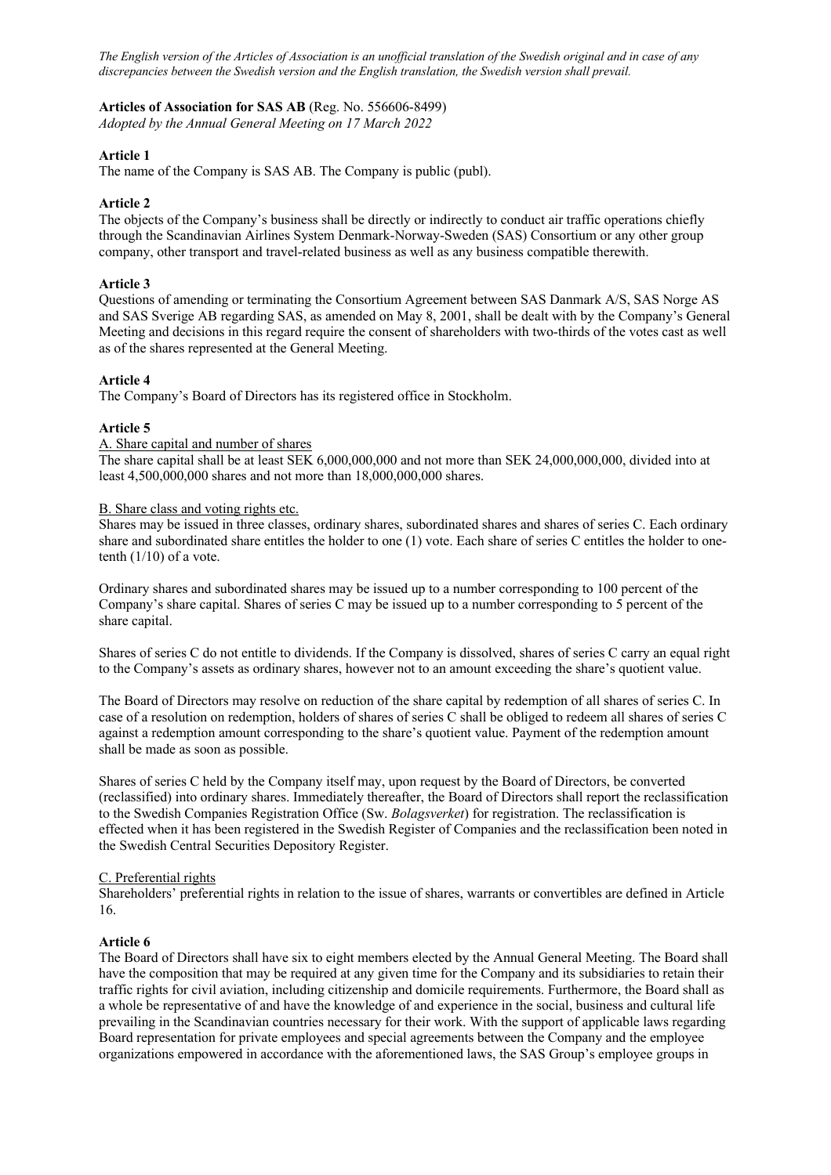# **Articles of Association for SAS AB** (Reg. No. 556606-8499)

*Adopted by the Annual General Meeting on 17 March 2022*

## **Article 1**

The name of the Company is SAS AB. The Company is public (publ).

# **Article 2**

The objects of the Company's business shall be directly or indirectly to conduct air traffic operations chiefly through the Scandinavian Airlines System Denmark-Norway-Sweden (SAS) Consortium or any other group company, other transport and travel-related business as well as any business compatible therewith.

# **Article 3**

Questions of amending or terminating the Consortium Agreement between SAS Danmark A/S, SAS Norge AS and SAS Sverige AB regarding SAS, as amended on May 8, 2001, shall be dealt with by the Company's General Meeting and decisions in this regard require the consent of shareholders with two-thirds of the votes cast as well as of the shares represented at the General Meeting.

## **Article 4**

The Company's Board of Directors has its registered office in Stockholm.

## **Article 5**

### A. Share capital and number of shares

The share capital shall be at least SEK 6,000,000,000 and not more than SEK 24,000,000,000, divided into at least 4,500,000,000 shares and not more than 18,000,000,000 shares.

### B. Share class and voting rights etc.

Shares may be issued in three classes, ordinary shares, subordinated shares and shares of series C. Each ordinary share and subordinated share entitles the holder to one (1) vote. Each share of series C entitles the holder to onetenth (1/10) of a vote.

Ordinary shares and subordinated shares may be issued up to a number corresponding to 100 percent of the Company's share capital. Shares of series C may be issued up to a number corresponding to 5 percent of the share capital.

Shares of series C do not entitle to dividends. If the Company is dissolved, shares of series C carry an equal right to the Company's assets as ordinary shares, however not to an amount exceeding the share's quotient value.

The Board of Directors may resolve on reduction of the share capital by redemption of all shares of series C. In case of a resolution on redemption, holders of shares of series C shall be obliged to redeem all shares of series C against a redemption amount corresponding to the share's quotient value. Payment of the redemption amount shall be made as soon as possible.

Shares of series C held by the Company itself may, upon request by the Board of Directors, be converted (reclassified) into ordinary shares. Immediately thereafter, the Board of Directors shall report the reclassification to the Swedish Companies Registration Office (Sw. *Bolagsverket*) for registration. The reclassification is effected when it has been registered in the Swedish Register of Companies and the reclassification been noted in the Swedish Central Securities Depository Register.

### C. Preferential rights

Shareholders' preferential rights in relation to the issue of shares, warrants or convertibles are defined in Article 16.

### **Article 6**

The Board of Directors shall have six to eight members elected by the Annual General Meeting. The Board shall have the composition that may be required at any given time for the Company and its subsidiaries to retain their traffic rights for civil aviation, including citizenship and domicile requirements. Furthermore, the Board shall as a whole be representative of and have the knowledge of and experience in the social, business and cultural life prevailing in the Scandinavian countries necessary for their work. With the support of applicable laws regarding Board representation for private employees and special agreements between the Company and the employee organizations empowered in accordance with the aforementioned laws, the SAS Group's employee groups in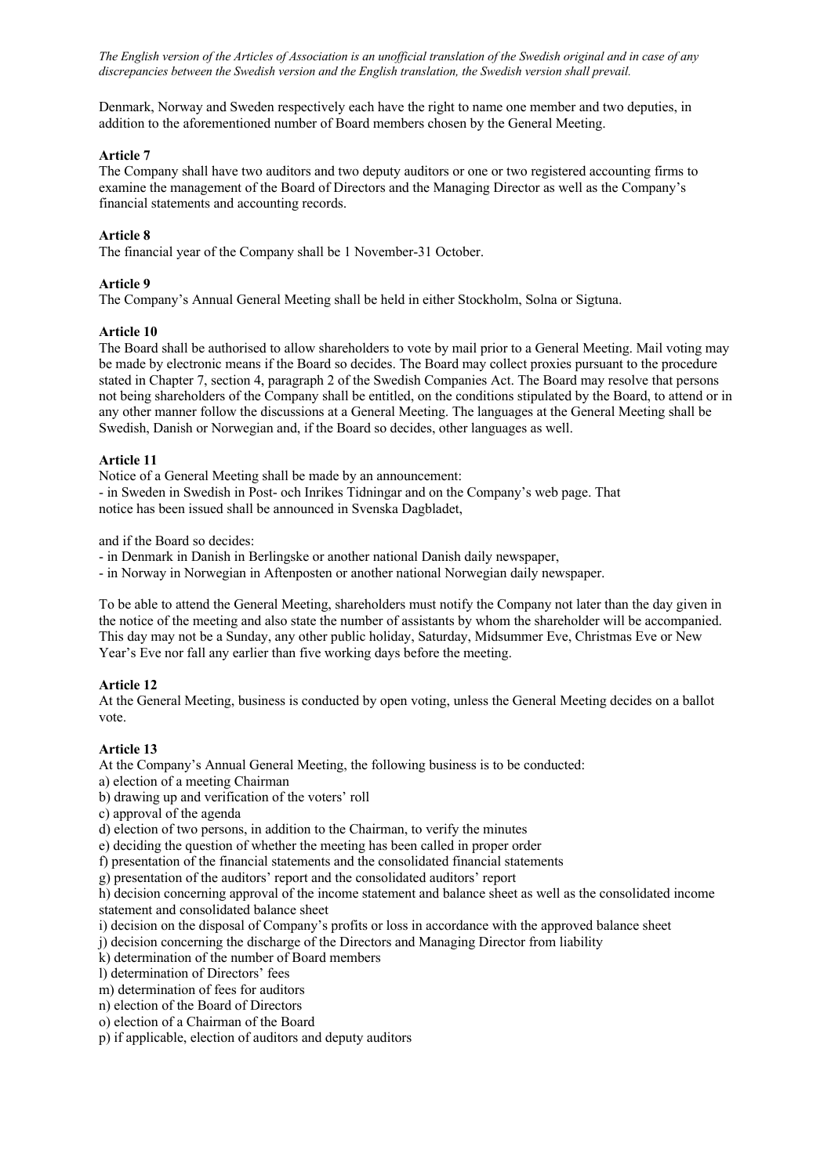Denmark, Norway and Sweden respectively each have the right to name one member and two deputies, in addition to the aforementioned number of Board members chosen by the General Meeting.

# **Article 7**

The Company shall have two auditors and two deputy auditors or one or two registered accounting firms to examine the management of the Board of Directors and the Managing Director as well as the Company's financial statements and accounting records.

# **Article 8**

The financial year of the Company shall be 1 November-31 October.

# **Article 9**

The Company's Annual General Meeting shall be held in either Stockholm, Solna or Sigtuna.

# **Article 10**

The Board shall be authorised to allow shareholders to vote by mail prior to a General Meeting. Mail voting may be made by electronic means if the Board so decides. The Board may collect proxies pursuant to the procedure stated in Chapter 7, section 4, paragraph 2 of the Swedish Companies Act. The Board may resolve that persons not being shareholders of the Company shall be entitled, on the conditions stipulated by the Board, to attend or in any other manner follow the discussions at a General Meeting. The languages at the General Meeting shall be Swedish, Danish or Norwegian and, if the Board so decides, other languages as well.

# **Article 11**

Notice of a General Meeting shall be made by an announcement: - in Sweden in Swedish in Post- och Inrikes Tidningar and on the Company's web page. That notice has been issued shall be announced in Svenska Dagbladet,

and if the Board so decides:

- in Denmark in Danish in Berlingske or another national Danish daily newspaper,

- in Norway in Norwegian in Aftenposten or another national Norwegian daily newspaper.

To be able to attend the General Meeting, shareholders must notify the Company not later than the day given in the notice of the meeting and also state the number of assistants by whom the shareholder will be accompanied. This day may not be a Sunday, any other public holiday, Saturday, Midsummer Eve, Christmas Eve or New Year's Eve nor fall any earlier than five working days before the meeting.

# **Article 12**

At the General Meeting, business is conducted by open voting, unless the General Meeting decides on a ballot vote.

# **Article 13**

At the Company's Annual General Meeting, the following business is to be conducted:

a) election of a meeting Chairman

b) drawing up and verification of the voters' roll

c) approval of the agenda

d) election of two persons, in addition to the Chairman, to verify the minutes

e) deciding the question of whether the meeting has been called in proper order

f) presentation of the financial statements and the consolidated financial statements

g) presentation of the auditors' report and the consolidated auditors' report

h) decision concerning approval of the income statement and balance sheet as well as the consolidated income statement and consolidated balance sheet

i) decision on the disposal of Company's profits or loss in accordance with the approved balance sheet

j) decision concerning the discharge of the Directors and Managing Director from liability

k) determination of the number of Board members

l) determination of Directors' fees

m) determination of fees for auditors

n) election of the Board of Directors

o) election of a Chairman of the Board

p) if applicable, election of auditors and deputy auditors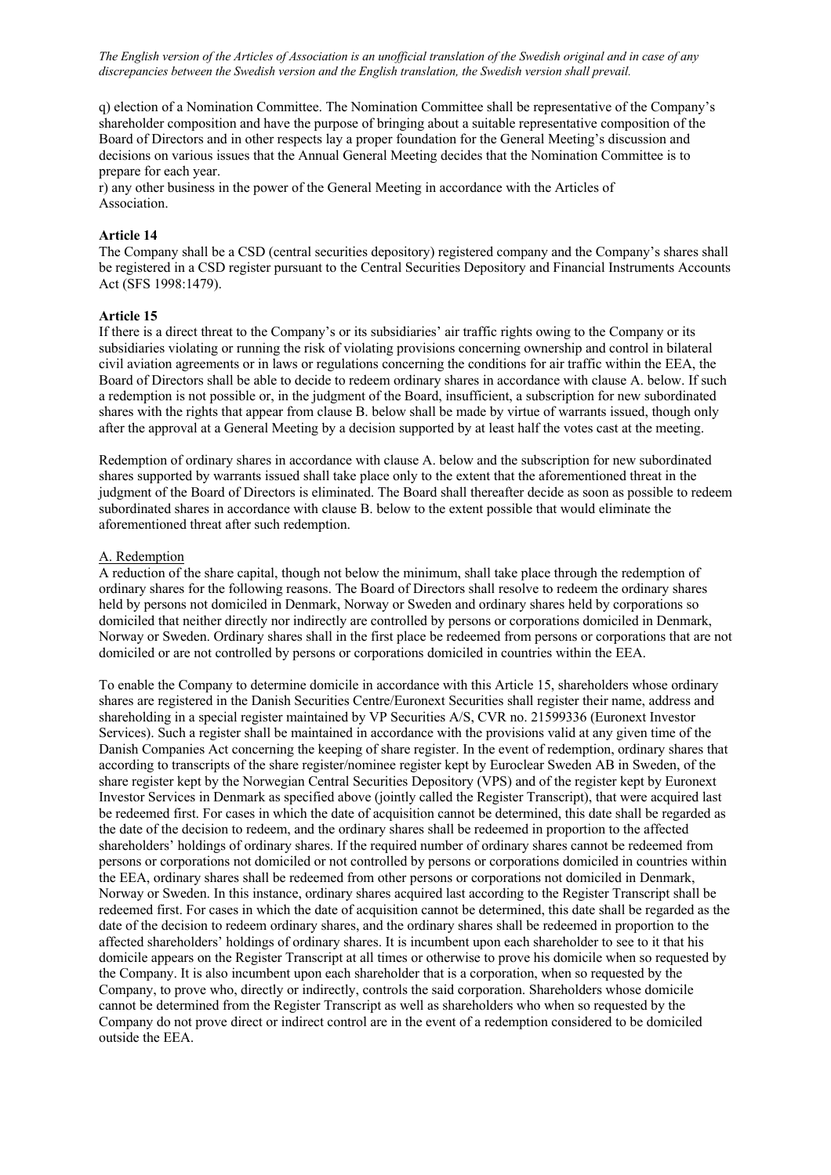q) election of a Nomination Committee. The Nomination Committee shall be representative of the Company's shareholder composition and have the purpose of bringing about a suitable representative composition of the Board of Directors and in other respects lay a proper foundation for the General Meeting's discussion and decisions on various issues that the Annual General Meeting decides that the Nomination Committee is to prepare for each year.

r) any other business in the power of the General Meeting in accordance with the Articles of Association.

# **Article 14**

The Company shall be a CSD (central securities depository) registered company and the Company's shares shall be registered in a CSD register pursuant to the Central Securities Depository and Financial Instruments Accounts Act (SFS 1998:1479).

## **Article 15**

If there is a direct threat to the Company's or its subsidiaries' air traffic rights owing to the Company or its subsidiaries violating or running the risk of violating provisions concerning ownership and control in bilateral civil aviation agreements or in laws or regulations concerning the conditions for air traffic within the EEA, the Board of Directors shall be able to decide to redeem ordinary shares in accordance with clause A. below. If such a redemption is not possible or, in the judgment of the Board, insufficient, a subscription for new subordinated shares with the rights that appear from clause B. below shall be made by virtue of warrants issued, though only after the approval at a General Meeting by a decision supported by at least half the votes cast at the meeting.

Redemption of ordinary shares in accordance with clause A. below and the subscription for new subordinated shares supported by warrants issued shall take place only to the extent that the aforementioned threat in the judgment of the Board of Directors is eliminated. The Board shall thereafter decide as soon as possible to redeem subordinated shares in accordance with clause B. below to the extent possible that would eliminate the aforementioned threat after such redemption.

### A. Redemption

A reduction of the share capital, though not below the minimum, shall take place through the redemption of ordinary shares for the following reasons. The Board of Directors shall resolve to redeem the ordinary shares held by persons not domiciled in Denmark, Norway or Sweden and ordinary shares held by corporations so domiciled that neither directly nor indirectly are controlled by persons or corporations domiciled in Denmark, Norway or Sweden. Ordinary shares shall in the first place be redeemed from persons or corporations that are not domiciled or are not controlled by persons or corporations domiciled in countries within the EEA.

To enable the Company to determine domicile in accordance with this Article 15, shareholders whose ordinary shares are registered in the Danish Securities Centre/Euronext Securities shall register their name, address and shareholding in a special register maintained by VP Securities A/S, CVR no. 21599336 (Euronext Investor Services). Such a register shall be maintained in accordance with the provisions valid at any given time of the Danish Companies Act concerning the keeping of share register. In the event of redemption, ordinary shares that according to transcripts of the share register/nominee register kept by Euroclear Sweden AB in Sweden, of the share register kept by the Norwegian Central Securities Depository (VPS) and of the register kept by Euronext Investor Services in Denmark as specified above (jointly called the Register Transcript), that were acquired last be redeemed first. For cases in which the date of acquisition cannot be determined, this date shall be regarded as the date of the decision to redeem, and the ordinary shares shall be redeemed in proportion to the affected shareholders' holdings of ordinary shares. If the required number of ordinary shares cannot be redeemed from persons or corporations not domiciled or not controlled by persons or corporations domiciled in countries within the EEA, ordinary shares shall be redeemed from other persons or corporations not domiciled in Denmark, Norway or Sweden. In this instance, ordinary shares acquired last according to the Register Transcript shall be redeemed first. For cases in which the date of acquisition cannot be determined, this date shall be regarded as the date of the decision to redeem ordinary shares, and the ordinary shares shall be redeemed in proportion to the affected shareholders' holdings of ordinary shares. It is incumbent upon each shareholder to see to it that his domicile appears on the Register Transcript at all times or otherwise to prove his domicile when so requested by the Company. It is also incumbent upon each shareholder that is a corporation, when so requested by the Company, to prove who, directly or indirectly, controls the said corporation. Shareholders whose domicile cannot be determined from the Register Transcript as well as shareholders who when so requested by the Company do not prove direct or indirect control are in the event of a redemption considered to be domiciled outside the EEA.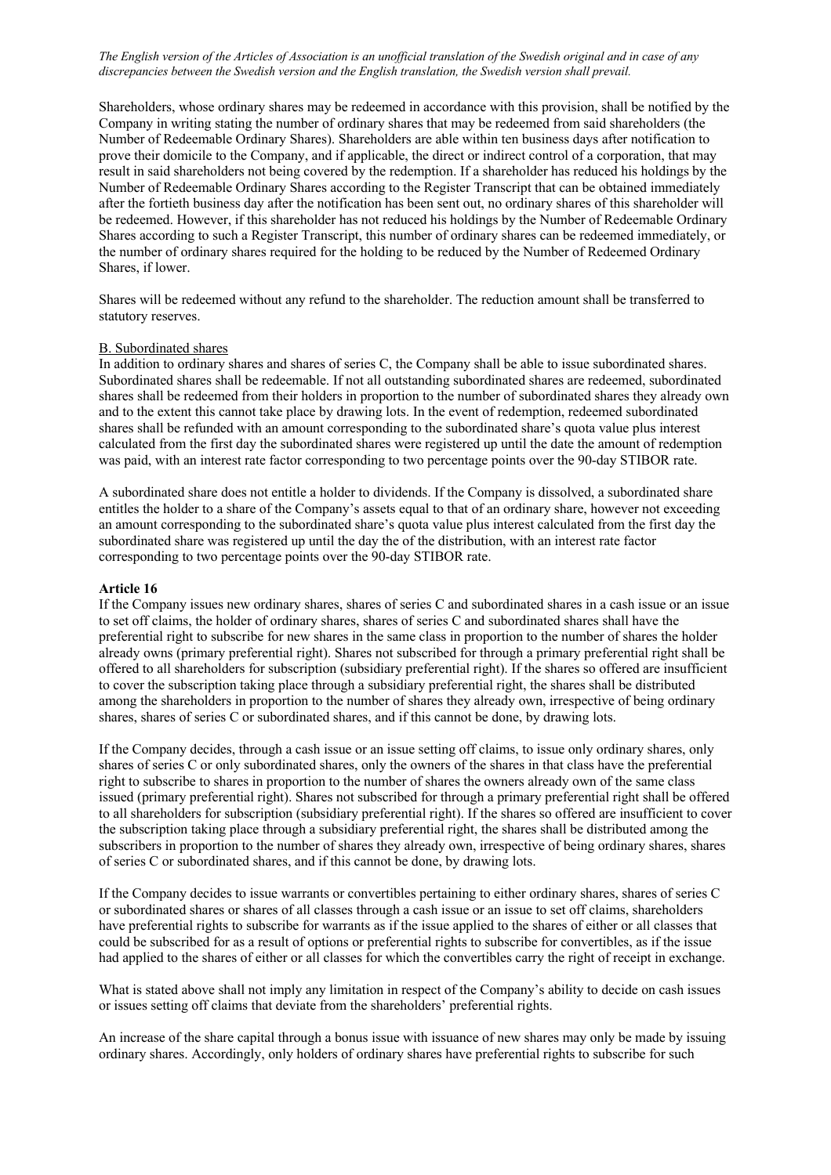Shareholders, whose ordinary shares may be redeemed in accordance with this provision, shall be notified by the Company in writing stating the number of ordinary shares that may be redeemed from said shareholders (the Number of Redeemable Ordinary Shares). Shareholders are able within ten business days after notification to prove their domicile to the Company, and if applicable, the direct or indirect control of a corporation, that may result in said shareholders not being covered by the redemption. If a shareholder has reduced his holdings by the Number of Redeemable Ordinary Shares according to the Register Transcript that can be obtained immediately after the fortieth business day after the notification has been sent out, no ordinary shares of this shareholder will be redeemed. However, if this shareholder has not reduced his holdings by the Number of Redeemable Ordinary Shares according to such a Register Transcript, this number of ordinary shares can be redeemed immediately, or the number of ordinary shares required for the holding to be reduced by the Number of Redeemed Ordinary Shares, if lower.

Shares will be redeemed without any refund to the shareholder. The reduction amount shall be transferred to statutory reserves.

### B. Subordinated shares

In addition to ordinary shares and shares of series C, the Company shall be able to issue subordinated shares. Subordinated shares shall be redeemable. If not all outstanding subordinated shares are redeemed, subordinated shares shall be redeemed from their holders in proportion to the number of subordinated shares they already own and to the extent this cannot take place by drawing lots. In the event of redemption, redeemed subordinated shares shall be refunded with an amount corresponding to the subordinated share's quota value plus interest calculated from the first day the subordinated shares were registered up until the date the amount of redemption was paid, with an interest rate factor corresponding to two percentage points over the 90-day STIBOR rate.

A subordinated share does not entitle a holder to dividends. If the Company is dissolved, a subordinated share entitles the holder to a share of the Company's assets equal to that of an ordinary share, however not exceeding an amount corresponding to the subordinated share's quota value plus interest calculated from the first day the subordinated share was registered up until the day the of the distribution, with an interest rate factor corresponding to two percentage points over the 90-day STIBOR rate.

## **Article 16**

If the Company issues new ordinary shares, shares of series C and subordinated shares in a cash issue or an issue to set off claims, the holder of ordinary shares, shares of series C and subordinated shares shall have the preferential right to subscribe for new shares in the same class in proportion to the number of shares the holder already owns (primary preferential right). Shares not subscribed for through a primary preferential right shall be offered to all shareholders for subscription (subsidiary preferential right). If the shares so offered are insufficient to cover the subscription taking place through a subsidiary preferential right, the shares shall be distributed among the shareholders in proportion to the number of shares they already own, irrespective of being ordinary shares, shares of series C or subordinated shares, and if this cannot be done, by drawing lots.

If the Company decides, through a cash issue or an issue setting off claims, to issue only ordinary shares, only shares of series C or only subordinated shares, only the owners of the shares in that class have the preferential right to subscribe to shares in proportion to the number of shares the owners already own of the same class issued (primary preferential right). Shares not subscribed for through a primary preferential right shall be offered to all shareholders for subscription (subsidiary preferential right). If the shares so offered are insufficient to cover the subscription taking place through a subsidiary preferential right, the shares shall be distributed among the subscribers in proportion to the number of shares they already own, irrespective of being ordinary shares, shares of series C or subordinated shares, and if this cannot be done, by drawing lots.

If the Company decides to issue warrants or convertibles pertaining to either ordinary shares, shares of series C or subordinated shares or shares of all classes through a cash issue or an issue to set off claims, shareholders have preferential rights to subscribe for warrants as if the issue applied to the shares of either or all classes that could be subscribed for as a result of options or preferential rights to subscribe for convertibles, as if the issue had applied to the shares of either or all classes for which the convertibles carry the right of receipt in exchange.

What is stated above shall not imply any limitation in respect of the Company's ability to decide on cash issues or issues setting off claims that deviate from the shareholders' preferential rights.

An increase of the share capital through a bonus issue with issuance of new shares may only be made by issuing ordinary shares. Accordingly, only holders of ordinary shares have preferential rights to subscribe for such